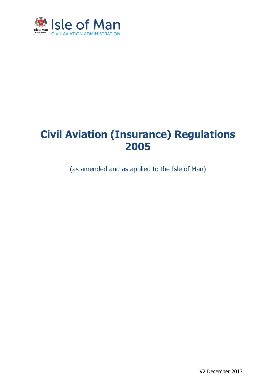

# **Civil Aviation (Insurance) Regulations 2005**

(as amended and as applied to the Isle of Man)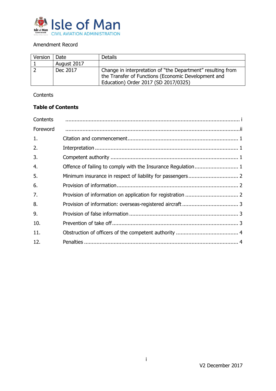

## <span id="page-1-0"></span>Amendment Record

| Version | Date        | <b>Details</b>                                              |
|---------|-------------|-------------------------------------------------------------|
|         | August 2017 |                                                             |
|         | Dec 2017    | Change in interpretation of "the Department" resulting from |
|         |             | the Transfer of Functions (Economic Development and         |
|         |             | Education) Order 2017 (SD 2017/0325)                        |

## **Contents**

## **Table of Contents**

| Contents |  |
|----------|--|
| Foreword |  |
| 1.       |  |
| 2.       |  |
| 3.       |  |
| 4.       |  |
| 5.       |  |
| 6.       |  |
| 7.       |  |
| 8.       |  |
| 9.       |  |
| 10.      |  |
| 11.      |  |
| 12.      |  |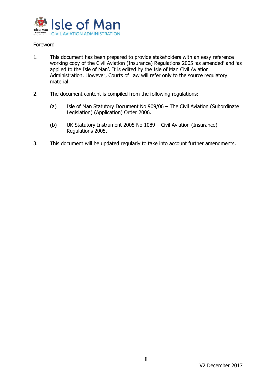

## <span id="page-2-0"></span>Foreword

- 1. This document has been prepared to provide stakeholders with an easy reference working copy of the Civil Aviation (Insurance) Regulations 2005 'as amended' and 'as applied to the Isle of Man'. It is edited by the Isle of Man Civil Aviation Administration. However, Courts of Law will refer only to the source regulatory material.
- 2. The document content is compiled from the following regulations:
	- (a) Isle of Man Statutory Document No 909/06 The Civil Aviation (Subordinate Legislation) (Application) Order 2006.
	- (b) UK Statutory Instrument 2005 No 1089 Civil Aviation (Insurance) Regulations 2005.
- 3. This document will be updated regularly to take into account further amendments.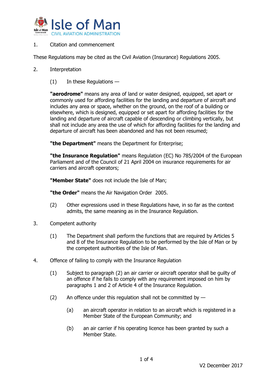

## <span id="page-3-0"></span>1. Citation and commencement

These Regulations may be cited as the Civil Aviation (Insurance) Regulations 2005.

- <span id="page-3-1"></span>2. Interpretation
	- $(1)$  In these Regulations —

**"aerodrome"** means any area of land or water designed, equipped, set apart or commonly used for affording facilities for the landing and departure of aircraft and includes any area or space, whether on the ground, on the roof of a building or elsewhere, which is designed, equipped or set apart for affording facilities for the landing and departure of aircraft capable of descending or climbing vertically, but shall not include any area the use of which for affording facilities for the landing and departure of aircraft has been abandoned and has not been resumed;

**"the Department"** means the Department for Enterprise;

**"the Insurance Regulation"** means Regulation (EC) No 785/2004 of the European Parliament and of the Council of 21 April 2004 on insurance requirements for air carriers and aircraft operators;

**"Member State"** does not include the Isle of Man;

**"the Order"** means the Air Navigation Order 2005.

- (2) Other expressions used in these Regulations have, in so far as the context admits, the same meaning as in the Insurance Regulation.
- <span id="page-3-2"></span>3. Competent authority
	- (1) The Department shall perform the functions that are required by Articles 5 and 8 of the Insurance Regulation to be performed by the Isle of Man or by the competent authorities of the Isle of Man.
- <span id="page-3-3"></span>4. Offence of failing to comply with the Insurance Regulation
	- (1) Subject to paragraph (2) an air carrier or aircraft operator shall be guilty of an offence if he fails to comply with any requirement imposed on him by paragraphs 1 and 2 of Article 4 of the Insurance Regulation.
	- (2) An offence under this regulation shall not be committed by  $-$ 
		- (a) an aircraft operator in relation to an aircraft which is registered in a Member State of the European Community; and
		- (b) an air carrier if his operating licence has been granted by such a Member State.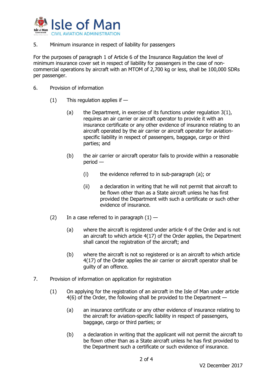

### <span id="page-4-0"></span>5. Minimum insurance in respect of liability for passengers

For the purposes of paragraph 1 of Article 6 of the Insurance Regulation the level of minimum insurance cover set in respect of liability for passengers in the case of noncommercial operations by aircraft with an MTOM of 2,700 kg or less, shall be 100,000 SDRs per passenger.

- <span id="page-4-1"></span>6. Provision of information
	- $(1)$  This regulation applies if  $-$ 
		- (a) the Department, in exercise of its functions under regulation  $3(1)$ , requires an air carrier or aircraft operator to provide it with an insurance certificate or any other evidence of insurance relating to an aircraft operated by the air carrier or aircraft operator for aviationspecific liability in respect of passengers, baggage, cargo or third parties; and
		- (b) the air carrier or aircraft operator fails to provide within a reasonable period —
			- (i) the evidence referred to in sub-paragraph (a); or
			- (ii) a declaration in writing that he will not permit that aircraft to be flown other than as a State aircraft unless he has first provided the Department with such a certificate or such other evidence of insurance.
	- (2) In a case referred to in paragraph  $(1)$ 
		- (a) where the aircraft is registered under article 4 of the Order and is not an aircraft to which article 4(17) of the Order applies, the Department shall cancel the registration of the aircraft; and
		- (b) where the aircraft is not so registered or is an aircraft to which article 4(17) of the Order applies the air carrier or aircraft operator shall be guilty of an offence.
- <span id="page-4-2"></span>7. Provision of information on application for registration
	- (1) On applying for the registration of an aircraft in the Isle of Man under article 4(6) of the Order, the following shall be provided to the Department —
		- (a) an insurance certificate or any other evidence of insurance relating to the aircraft for aviation-specific liability in respect of passengers, baggage, cargo or third parties; or
		- (b) a declaration in writing that the applicant will not permit the aircraft to be flown other than as a State aircraft unless he has first provided to the Department such a certificate or such evidence of insurance.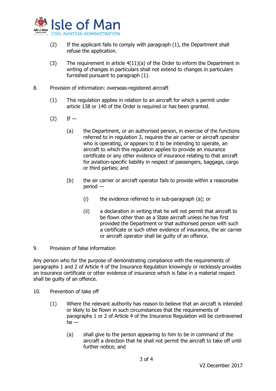

- (2) If the applicant fails to comply with paragraph (1), the Department shall refuse the application.
- (3) The requirement in article 4(11)(a) of the Order to inform the Department in writing of changes in particulars shall not extend to changes in particulars furnished pursuant to paragraph (1).
- <span id="page-5-0"></span>8. Provision of information: overseas-registered aircraft
	- (1) This regulation applies in relation to an aircraft for which a permit under article 138 or 140 of the Order is required or has been granted.
	- $(2)$  If
		- (a) the Department, or an authorised person, in exercise of the functions referred to in regulation 3, requires the air carrier or aircraft operator who is operating, or appears to it to be intending to operate, an aircraft to which this regulation applies to provide an insurance certificate or any other evidence of insurance relating to that aircraft for aviation-specific liability in respect of passengers, baggage, cargo or third parties; and
		- (b) the air carrier or aircraft operator fails to provide within a reasonable period —
			- (i) the evidence referred to in sub-paragraph (a); or
			- (ii) a declaration in writing that he will not permit that aircraft to be flown other than as a State aircraft unless he has first provided the Department or that authorised person with such a certificate or such other evidence of insurance, the air carrier or aircraft operator shall be guilty of an offence.
- <span id="page-5-1"></span>9. Provision of false information

Any person who for the purpose of demonstrating compliance with the requirements of paragraphs 1 and 2 of Article 4 of the Insurance Regulation knowingly or recklessly provides an insurance certificate or other evidence of insurance which is false in a material respect shall be guilty of an offence.

- <span id="page-5-2"></span>10. Prevention of take off
	- (1) Where the relevant authority has reason to believe that an aircraft is intended or likely to be flown in such circumstances that the requirements of paragraphs 1 or 2 of Article 4 of the Insurance Regulation will be contravened  $he$  —
		- (a) shall give to the person appearing to him to be in command of the aircraft a direction that he shall not permit the aircraft to take off until further notice; and